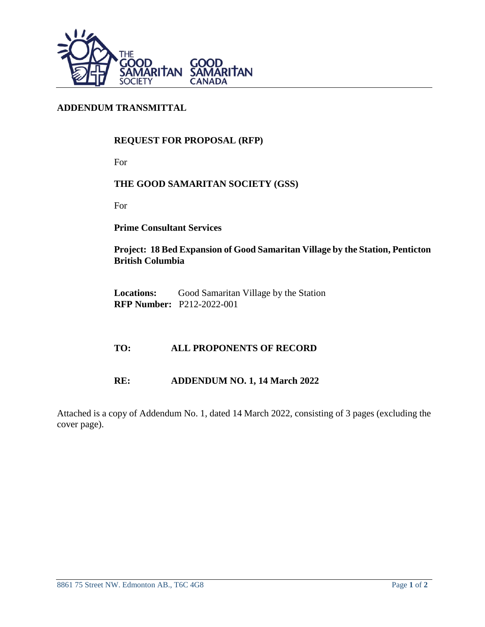

# **ADDENDUM TRANSMITTAL**

# **REQUEST FOR PROPOSAL (RFP)**

For

# **THE GOOD SAMARITAN SOCIETY (GSS)**

For

**Prime Consultant Services**

**Project: 18 Bed Expansion of Good Samaritan Village by the Station, Penticton British Columbia**

Locations: Good Samaritan Village by the Station **RFP Number:** P212-2022-001

# **TO: ALL PROPONENTS OF RECORD**

#### **RE: ADDENDUM NO. 1, 14 March 2022**

Attached is a copy of Addendum No. 1, dated 14 March 2022, consisting of 3 pages (excluding the cover page).